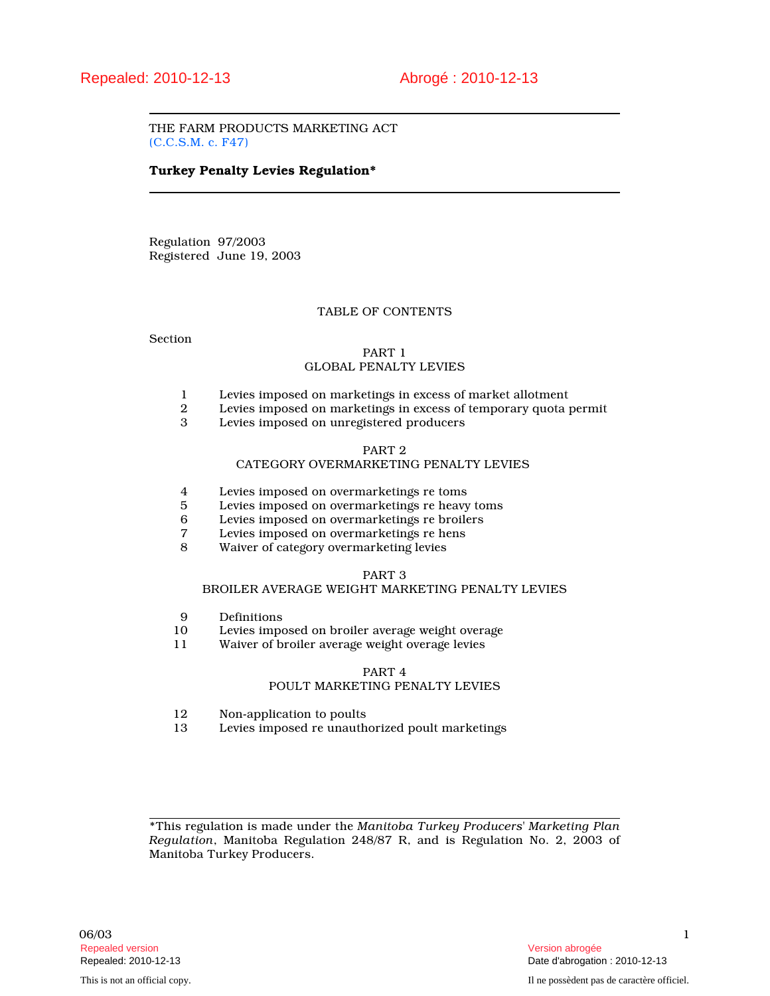THE FARM PRODUCTS MARKETING ACT (C.C.S.M. c. F47)

# Turkey Penalty Levies Regulation\*

Regulation 97/2003 Registered June 19, 2003

# TABLE OF CONTENTS

Section

# PART 1 GLOBAL PENALTY LEVIES

- 1 Levies imposed on marketings in excess of market allotment
- 2 Levies imposed on marketings in excess of temporary quota permit
- Levies imposed on unregistered producers

#### PART 2

# CATEGORY OVERMARKETING PENALTY LEVIES

- 4 Levies imposed on overmarketings re toms<br>5 Levies imposed on overmarketings re heavy
- 5 Levies imposed on overmarketings re heavy toms<br>6 Levies imposed on overmarketings re broilers
- 6 Levies imposed on overmarketings re broilers
- Levies imposed on overmarketings re hens
- 8 Waiver of category overmarketing levies

# PART 3

# BROILER AVERAGE WEIGHT MARKETING PENALTY LEVIES

- 9 Definitions<br>10 Levies impo
- 10 Levies imposed on broiler average weight overage<br>11 Waiver of broiler average weight overage levies
- Waiver of broiler average weight overage levies

# PART 4

# POULT MARKETING PENALTY LEVIES

- 12 Non-application to poults<br>13 Levies imposed re unauth
- Levies imposed re unauthorized poult marketings

\*This regulation is made under the Manitoba Turkey Producers' Marketing Plan Regulation, Manitoba Regulation 248/87 R, and is Regulation No. 2, 2003 of Manitoba Turkey Producers.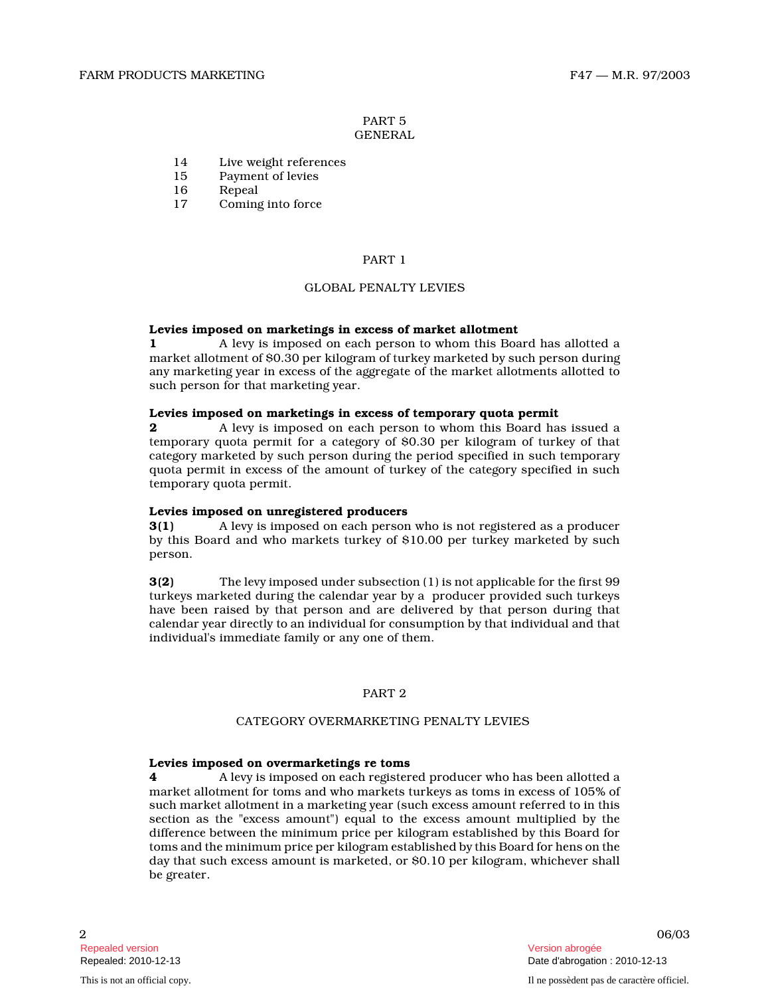### PART 5 GENERAL

- 14 Live weight references
- 15 Payment of levies
- 16 Repeal<br>17 Coming
- Coming into force

# PART 1

# GLOBAL PENALTY LEVIES

# Levies imposed on marketings in excess of market allotment

1 A levy is imposed on each person to whom this Board has allotted a market allotment of \$0.30 per kilogram of turkey marketed by such person during any marketing year in excess of the aggregate of the market allotments allotted to such person for that marketing year.

### Levies imposed on marketings in excess of temporary quota permit

**2** A levy is imposed on each person to whom this Board has issued a temporary quota permit for a category of \$0.30 per kilogram of turkey of that category marketed by such person during the period specified in such temporary quota permit in excess of the amount of turkey of the category specified in such temporary quota permit.

# Levies imposed on unregistered producers

3(1) A levy is imposed on each person who is not registered as a producer by this Board and who markets turkey of \$10.00 per turkey marketed by such person.

3(2) The levy imposed under subsection (1) is not applicable for the first 99 turkeys marketed during the calendar year by a producer provided such turkeys have been raised by that person and are delivered by that person during that calendar year directly to an individual for consumption by that individual and that individual's immediate family or any one of them.

# PART 2

# CATEGORY OVERMARKETING PENALTY LEVIES

#### Levies imposed on overmarketings re toms

4 A levy is imposed on each registered producer who has been allotted a market allotment for toms and who markets turkeys as toms in excess of 105% of such market allotment in a marketing year (such excess amount referred to in this section as the "excess amount") equal to the excess amount multiplied by the difference between the minimum price per kilogram established by this Board for toms and the minimum price per kilogram established by this Board for hens on the day that such excess amount is marketed, or \$0.10 per kilogram, whichever shall be greater.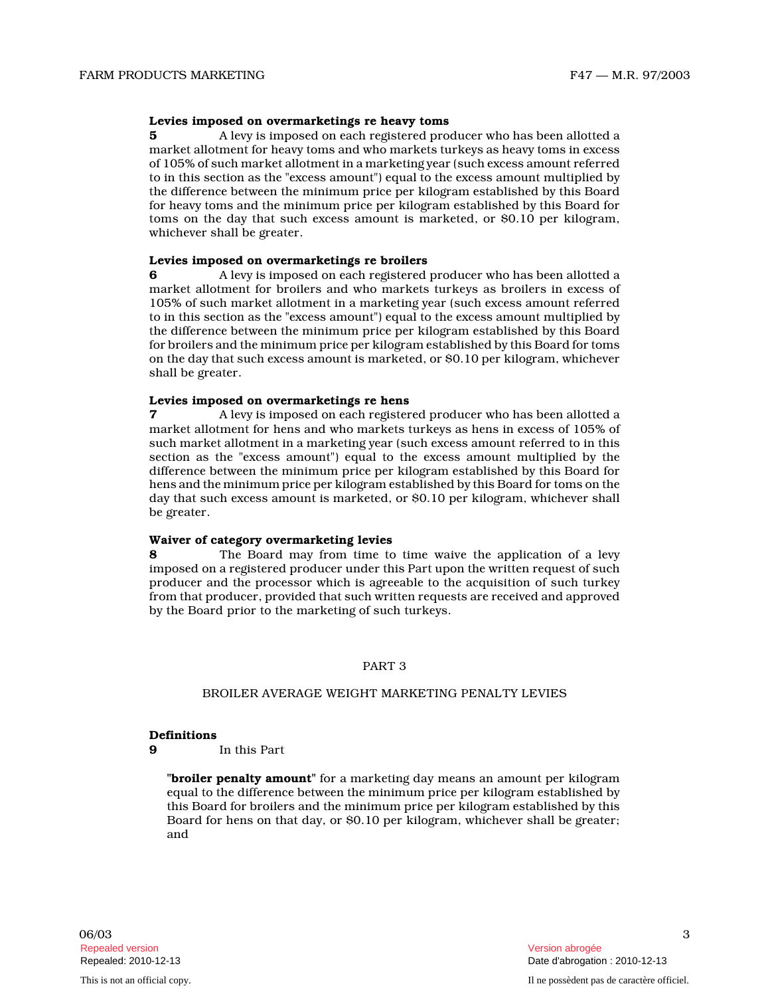# Levies imposed on overmarketings re heavy toms

5 A levy is imposed on each registered producer who has been allotted a market allotment for heavy toms and who markets turkeys as heavy toms in excess of 105% of such market allotment in a marketing year (such excess amount referred to in this section as the "excess amount") equal to the excess amount multiplied by the difference between the minimum price per kilogram established by this Board for heavy toms and the minimum price per kilogram established by this Board for toms on the day that such excess amount is marketed, or \$0.10 per kilogram, whichever shall be greater.

#### Levies imposed on overmarketings re broilers

6 A levy is imposed on each registered producer who has been allotted a market allotment for broilers and who markets turkeys as broilers in excess of 105% of such market allotment in a marketing year (such excess amount referred to in this section as the "excess amount") equal to the excess amount multiplied by the difference between the minimum price per kilogram established by this Board for broilers and the minimum price per kilogram established by this Board for toms on the day that such excess amount is marketed, or \$0.10 per kilogram, whichever shall be greater.

# Levies imposed on overmarketings re hens

7 A levy is imposed on each registered producer who has been allotted a market allotment for hens and who markets turkeys as hens in excess of 105% of such market allotment in a marketing year (such excess amount referred to in this section as the "excess amount") equal to the excess amount multiplied by the difference between the minimum price per kilogram established by this Board for hens and the minimum price per kilogram established by this Board for toms on the day that such excess amount is marketed, or \$0.10 per kilogram, whichever shall be greater.

Waiver of category overmarketing levies<br>8 The Board may from time to time waive the application of a levy imposed on a registered producer under this Part upon the written request of such producer and the processor which is agreeable to the acquisition of such turkey from that producer, provided that such written requests are received and approved by the Board prior to the marketing of such turkeys .

# PART 3

# BROILER AVERAGE WEIGHT MARKETING PENALTY LEVIES

# Definitions

9 In this Part

"**broiler penalty amount**" for a marketing day means an amount per kilogram equal to the difference between the minimum price per kilogram established by this Board for broilers and the minimum price per kilogram established by this Board for hens on that day, or \$0.10 per kilogram, whichever shall be greater; and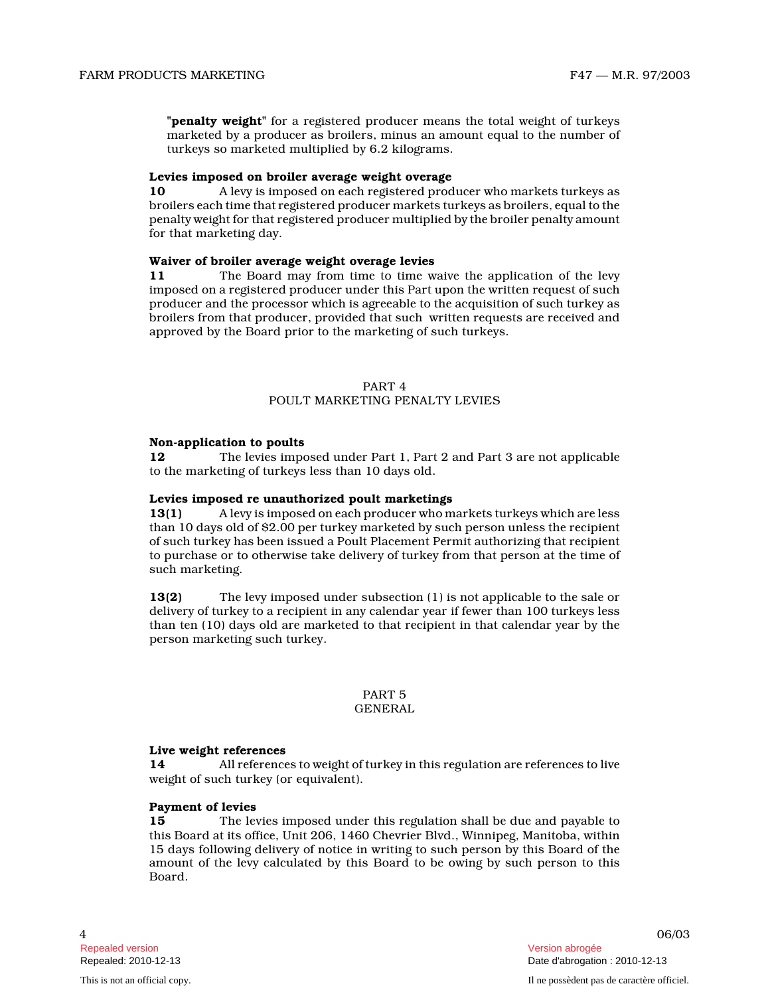"penalty weight" for a registered producer means the total weight of turkeys marketed by a producer as broilers, minus an amount equal to the number of turkeys so marketed multiplied by 6.2 kilograms.

# Levies imposed on broiler average weight overage

10 A levy is imposed on each registered producer who markets turkeys as broilers each time that registered producer markets turkeys as broilers, equal to the penalty weight for that registered producer multiplied by the broiler penalty amount for that marketing day.

# Waiver of broiler average weight overage levies

11 The Board may from time to time waive the application of the levy imposed on a registered producer under this Part upon the written request of such producer and the processor which is agreeable to the acquisition of such turkey as broilers from that producer, provided that such written requests are received and approved by the Board prior to the marketing of such turkeys.

# PART 4

# POULT MARKETING PENALTY LEVIES

# Non-application to poults

12 The levies imposed under Part 1, Part 2 and Part 3 are not applicable to the marketing of turkeys less than 10 days old.

# Levies imposed re unauthorized poult marketings

13(1) A levy is imposed on each producer who markets turkeys which are less than 10 days old of \$2.00 per turkey marketed by such person unless the recipient of such turkey has been issued a Poult Placement Permit authorizing that recipient to purchase or to otherwise take delivery of turkey from that person at the time of such marketing.

13(2) The levy imposed under subsection (1) is not applicable to the sale or delivery of turkey to a recipient in any calendar year if fewer than 100 turkeys less than ten (10) days old are marketed to that recipient in that calendar year by the person marketing such turkey.

# PART 5 GENERAL

# Live weight references

14 All references to weight of turkey in this regulation are references to live weight of such turkey (or equivalent).

# Payment of levies

15 The levies imposed under this regulation shall be due and payable to this Board at its office, Unit 206, 1460 Chevrier Blvd., Winnipeg, Manitoba, within 15 days following delivery of notice in writing to such person by this Board of the amount of the levy calculated by this Board to be owing by such person to this Board.